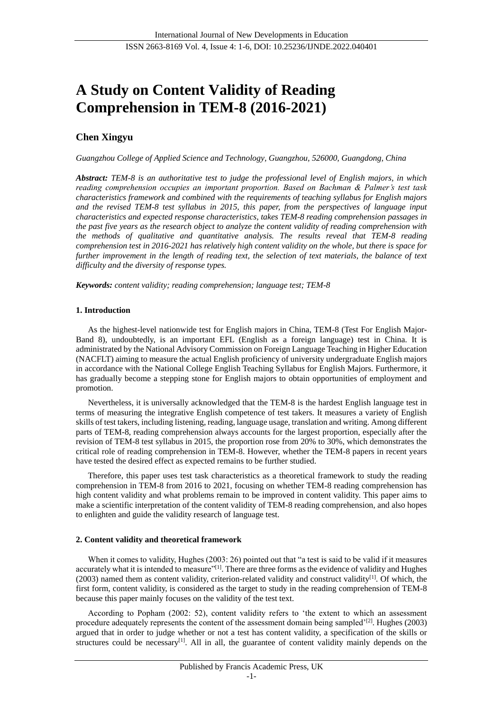# **A Study on Content Validity of Reading Comprehension in TEM-8 (2016-2021)**

## **Chen Xingyu**

*Guangzhou College of Applied Science and Technology, Guangzhou, 526000, Guangdong, China*

*Abstract: TEM-8 is an authoritative test to judge the professional level of English majors, in which reading comprehension occupies an important proportion. Based on Bachman & Palmer's test task characteristics framework and combined with the requirements of teaching syllabus for English majors and the revised TEM-8 test syllabus in 2015, this paper, from the perspectives of language input characteristics and expected response characteristics, takes TEM-8 reading comprehension passages in the past five years as the research object to analyze the content validity of reading comprehension with the methods of qualitative and quantitative analysis. The results reveal that TEM-8 reading comprehension test in 2016-2021 has relatively high content validity on the whole, but there is space for*  further improvement in the length of reading text, the selection of text materials, the balance of text *difficulty and the diversity of response types.*

*Keywords: content validity; reading comprehension; language test; TEM-8*

## **1. Introduction**

As the highest-level nationwide test for English majors in China, TEM-8 (Test For English Major-Band 8), undoubtedly, is an important EFL (English as a foreign language) test in China. It is administrated by the National Advisory Commission on Foreign Language Teaching in Higher Education (NACFLT) aiming to measure the actual English proficiency of university undergraduate English majors in accordance with the National College English Teaching Syllabus for English Majors. Furthermore, it has gradually become a stepping stone for English majors to obtain opportunities of employment and promotion.

Nevertheless, it is universally acknowledged that the TEM-8 is the hardest English language test in terms of measuring the integrative English competence of test takers. It measures a variety of English skills of test takers, including listening, reading, language usage, translation and writing. Among different parts of TEM-8, reading comprehension always accounts for the largest proportion, especially after the revision of TEM-8 test syllabus in 2015, the proportion rose from 20% to 30%, which demonstrates the critical role of reading comprehension in TEM-8. However, whether the TEM-8 papers in recent years have tested the desired effect as expected remains to be further studied.

Therefore, this paper uses test task characteristics as a theoretical framework to study the reading comprehension in TEM-8 from 2016 to 2021, focusing on whether TEM-8 reading comprehension has high content validity and what problems remain to be improved in content validity. This paper aims to make a scientific interpretation of the content validity of TEM-8 reading comprehension, and also hopes to enlighten and guide the validity research of language test.

## **2. Content validity and theoretical framework**

When it comes to validity, Hughes (2003: 26) pointed out that "a test is said to be valid if it measures accurately what it is intended to measure"<sup>[1]</sup>. There are three forms as the evidence of validity and Hughes (2003) named them as content validity, criterion-related validity and construct validity<sup>[1]</sup>. Of which, the first form, content validity, is considered as the target to study in the reading comprehension of TEM-8 because this paper mainly focuses on the validity of the test text.

According to Popham (2002: 52), content validity refers to 'the extent to which an assessment procedure adequately represents the content of the assessment domain being sampled'<sup>[2]</sup>. Hughes (2003) argued that in order to judge whether or not a test has content validity, a specification of the skills or structures could be necessary $[1]$ . All in all, the guarantee of content validity mainly depends on the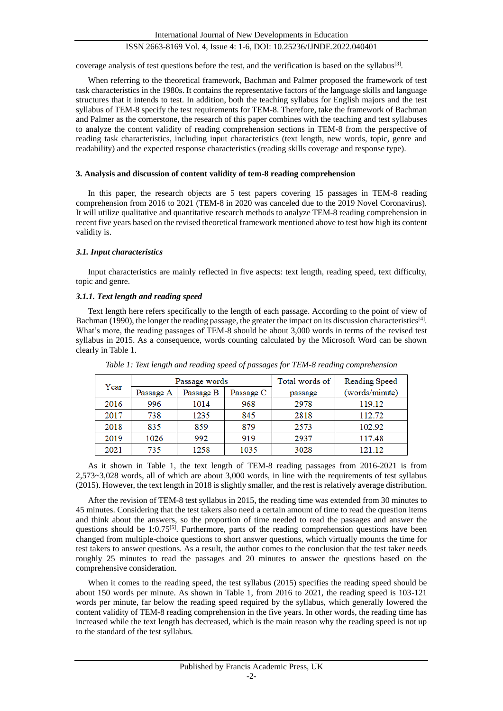coverage analysis of test questions before the test, and the verification is based on the syllabus<sup>[3]</sup>.

When referring to the theoretical framework, Bachman and Palmer proposed the framework of test task characteristics in the 1980s. It contains the representative factors of the language skills and language structures that it intends to test. In addition, both the teaching syllabus for English majors and the test syllabus of TEM-8 specify the test requirements for TEM-8. Therefore, take the framework of Bachman and Palmer as the cornerstone, the research of this paper combines with the teaching and test syllabuses to analyze the content validity of reading comprehension sections in TEM-8 from the perspective of reading task characteristics, including input characteristics (text length, new words, topic, genre and readability) and the expected response characteristics (reading skills coverage and response type).

#### **3. Analysis and discussion of content validity of tem-8 reading comprehension**

In this paper, the research objects are 5 test papers covering 15 passages in TEM-8 reading comprehension from 2016 to 2021 (TEM-8 in 2020 was canceled due to the 2019 Novel Coronavirus). It will utilize qualitative and quantitative research methods to analyze TEM-8 reading comprehension in recent five years based on the revised theoretical framework mentioned above to test how high its content validity is.

#### *3.1. Input characteristics*

Input characteristics are mainly reflected in five aspects: text length, reading speed, text difficulty, topic and genre.

#### *3.1.1. Text length and reading speed*

Text length here refers specifically to the length of each passage. According to the point of view of Bachman (1990), the longer the reading passage, the greater the impact on its discussion characteristics<sup>[4]</sup>. What's more, the reading passages of TEM-8 should be about 3,000 words in terms of the revised test syllabus in 2015. As a consequence, words counting calculated by the Microsoft Word can be shown clearly in Table 1.

|      |           | Passage words |           | Total words of | Reading Speed  |
|------|-----------|---------------|-----------|----------------|----------------|
| Year | Passage A | Passage B     | Passage C | passage        | (words/minute) |
| 2016 | 996       | 1014          | 968       | 2978           | 119.12         |
| 2017 | 738       | 1235          | 845       | 2818           | 112.72         |
| 2018 | 835       | 859           | 879       | 2573           | 102.92         |
| 2019 | 1026      | 992           | 919       | 2937           | 117.48         |
| 2021 | 735       | 1258          | 1035      | 3028           | 121.12         |

*Table 1: Text length and reading speed of passages for TEM-8 reading comprehension*

As it shown in Table 1, the text length of TEM-8 reading passages from 2016-2021 is from 2,573~3,028 words, all of which are about 3,000 words, in line with the requirements of test syllabus (2015). However, the text length in 2018 is slightly smaller, and the rest is relatively average distribution.

After the revision of TEM-8 test syllabus in 2015, the reading time was extended from 30 minutes to 45 minutes. Considering that the test takers also need a certain amount of time to read the question items and think about the answers, so the proportion of time needed to read the passages and answer the questions should be  $1:0.75^{[5]}$ . Furthermore, parts of the reading comprehension questions have been changed from multiple-choice questions to short answer questions, which virtually mounts the time for test takers to answer questions. As a result, the author comes to the conclusion that the test taker needs roughly 25 minutes to read the passages and 20 minutes to answer the questions based on the comprehensive consideration.

When it comes to the reading speed, the test syllabus (2015) specifies the reading speed should be about 150 words per minute. As shown in Table 1, from 2016 to 2021, the reading speed is 103-121 words per minute, far below the reading speed required by the syllabus, which generally lowered the content validity of TEM-8 reading comprehension in the five years. In other words, the reading time has increased while the text length has decreased, which is the main reason why the reading speed is not up to the standard of the test syllabus.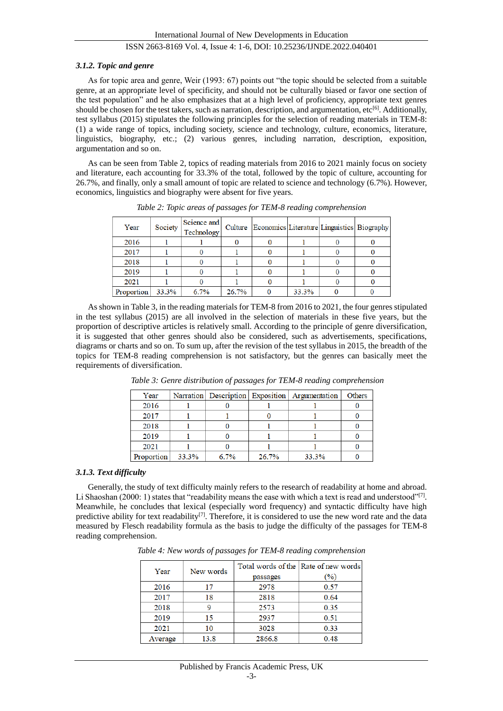#### *3.1.2. Topic and genre*

As for topic area and genre, Weir (1993: 67) points out "the topic should be selected from a suitable genre, at an appropriate level of specificity, and should not be culturally biased or favor one section of the test population" and he also emphasizes that at a high level of proficiency, appropriate text genres should be chosen for the test takers, such as narration, description, and argumentation, etc<sup>[6]</sup>. Additionally, test syllabus (2015) stipulates the following principles for the selection of reading materials in TEM-8: (1) a wide range of topics, including society, science and technology, culture, economics, literature, linguistics, biography, etc.; (2) various genres, including narration, description, exposition, argumentation and so on.

As can be seen from Table 2, topics of reading materials from 2016 to 2021 mainly focus on society and literature, each accounting for 33.3% of the total, followed by the topic of culture, accounting for 26.7%, and finally, only a small amount of topic are related to science and technology (6.7%). However, economics, linguistics and biography were absent for five years.

| Year       | Society | Science and<br>Technology |       | Culture Economics Literature Linguistics Biography |       |  |
|------------|---------|---------------------------|-------|----------------------------------------------------|-------|--|
| 2016       |         |                           |       |                                                    |       |  |
| 2017       |         |                           |       |                                                    |       |  |
| 2018       |         |                           |       |                                                    |       |  |
| 2019       |         |                           |       |                                                    |       |  |
| 2021       |         |                           |       |                                                    |       |  |
| Proportion | 33.3%   | 6.7%                      | 26.7% |                                                    | 33.3% |  |

*Table 2: Topic areas of passages for TEM-8 reading comprehension*

As shown in Table 3, in the reading materials for TEM-8 from 2016 to 2021, the four genres stipulated in the test syllabus (2015) are all involved in the selection of materials in these five years, but the proportion of descriptive articles is relatively small. According to the principle of genre diversification, it is suggested that other genres should also be considered, such as advertisements, specifications, diagrams or charts and so on. To sum up, after the revision of the test syllabus in 2015, the breadth of the topics for TEM-8 reading comprehension is not satisfactory, but the genres can basically meet the requirements of diversification.

| Year       |       |      |       | Narration   Description   Exposition   Argumentation | Others |
|------------|-------|------|-------|------------------------------------------------------|--------|
| 2016       |       |      |       |                                                      |        |
| 2017       |       |      |       |                                                      |        |
| 2018       |       |      |       |                                                      |        |
| 2019       |       |      |       |                                                      |        |
| 2021       |       |      |       |                                                      |        |
| Proportion | 33.3% | 6.7% | 26.7% | 33.3%                                                |        |

*Table 3: Genre distribution of passages for TEM-8 reading comprehension*

#### *3.1.3. Text difficulty*

Generally, the study of text difficulty mainly refers to the research of readability at home and abroad. Li Shaoshan (2000: 1) states that "readability means the ease with which a text is read and understood"<sup>[7]</sup>. Meanwhile, he concludes that lexical (especially word frequency) and syntactic difficulty have high predictive ability for text readability<sup>[7]</sup>. Therefore, it is considered to use the new word rate and the data measured by Flesch readability formula as the basis to judge the difficulty of the passages for TEM-8 reading comprehension.

|         | New words |          | Total words of the Rate of new words<br>$(\%)$ |  |
|---------|-----------|----------|------------------------------------------------|--|
| Year    |           | passages |                                                |  |
| 2016    | 17        | 2978     | 0.57                                           |  |
| 2017    | 18        | 2818     | 0.64                                           |  |
| 2018    |           | 2573     | 0.35                                           |  |
| 2019    | 15        | 2937     | 0.51                                           |  |
| 2021    | 10        | 3028     | 0.33                                           |  |
| Average | 13.8      | 2866.8   | 0.48                                           |  |

*Table 4: New words of passages for TEM-8 reading comprehension*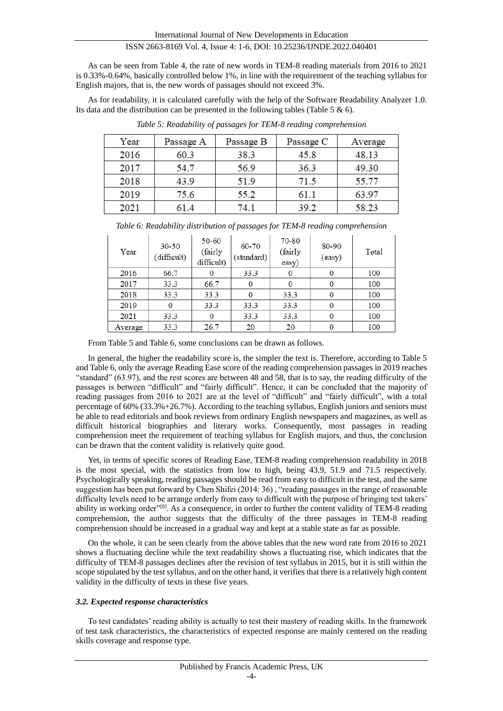As can be seen from Table 4, the rate of new words in TEM-8 reading materials from 2016 to 2021 is 0.33%-0.64%, basically controlled below 1%, in line with the requirement of the teaching syllabus for English majors, that is, the new words of passages should not exceed 3%.

As for readability, it is calculated carefully with the help of the Software Readability Analyzer 1.0. Its data and the distribution can be presented in the following tables (Table 5 & 6).

| Year | Passage A | Passage B | Passage C | Average |
|------|-----------|-----------|-----------|---------|
| 2016 | 60.3      | 38.3      | 45.8      | 48.13   |
| 2017 | 54.7      | 56.9      | 36.3      | 49.30   |
| 2018 | 43.9      | 51.9      | 71.5      | 55.77   |
| 2019 | 75.6      | 55.2      | 61.1      | 63.97   |
| 2021 | 61.4      | 74.1      | 39.2      | 58.23   |

*Table 5: Readability of passages for TEM-8 reading comprehension*

| Year    | $30 - 50$<br>(difficult) | 50-60<br>(fairly<br>difficult) | 60-70<br>(standard) | 70-80<br>(fairly<br>easy) | 80-90<br>(easy) | Total |
|---------|--------------------------|--------------------------------|---------------------|---------------------------|-----------------|-------|
| 2016    | 66.7                     |                                | 33.3                |                           | 0               | 100   |
| 2017    | 33.3                     | 66.7                           |                     |                           | 0               | 100   |
| 2018    | 33.3                     | 33.3                           |                     | 33.3                      | 0               | 100   |
| 2019    | $\Omega$                 | 33.3                           | 33.3                | 33.3                      | 0               | 100   |
| 2021    | 33.3                     |                                | 33.3                | 33.3                      | 0               | 100   |
| Average | 33.3                     | 26.7                           | 20                  | 20                        |                 | 100   |

*Table 6: Readability distribution of passages for TEM-8 reading comprehension*

From Table 5 and Table 6, some conclusions can be drawn as follows.

In general, the higher the readability score is, the simpler the text is. Therefore, according to Table 5 and Table 6, only the average Reading Ease score of the reading comprehension passages in 2019 reaches "standard" (63.97), and the rest scores are between 48 and 58, that is to say, the reading difficulty of the passages is between "difficult" and "fairly difficult". Hence, it can be concluded that the majority of reading passages from 2016 to 2021 are at the level of "difficult" and "fairly difficult", with a total percentage of 60% (33.3%+26.7%). According to the teaching syllabus, English juniors and seniors must be able to read editorials and book reviews from ordinary English newspapers and magazines, as well as difficult historical biographies and literary works. Consequently, most passages in reading comprehension meet the requirement of teaching syllabus for English majors, and thus, the conclusion can be drawn that the content validity is relatively quite good.

Yet, in terms of specific scores of Reading Ease, TEM-8 reading comprehension readability in 2018 is the most special, with the statistics from low to high, being 43.9, 51.9 and 71.5 respectively. Psychologically speaking, reading passages should be read from easy to difficult in the test, and the same suggestion has been put forward by Chen Shifei (2014: 36) , "reading passages in the range of reasonable difficulty levels need to be arrange orderly from easy to difficult with the purpose of bringing test takers' ability in working order"<sup>[8]</sup>. As a consequence, in order to further the content validity of TEM-8 reading comprehension, the author suggests that the difficulty of the three passages in TEM-8 reading comprehension should be increased in a gradual way and kept at a stable state as far as possible.

On the whole, it can be seen clearly from the above tables that the new word rate from 2016 to 2021 shows a fluctuating decline while the text readability shows a fluctuating rise, which indicates that the difficulty of TEM-8 passages declines after the revision of test syllabus in 2015, but it is still within the scope stipulated by the test syllabus, and on the other hand, it verifies that there is a relatively high content validity in the difficulty of texts in these five years.

#### *3.2. Expected response characteristics*

To test candidates' reading ability is actually to test their mastery of reading skills. In the framework of test task characteristics, the characteristics of expected response are mainly centered on the reading skills coverage and response type.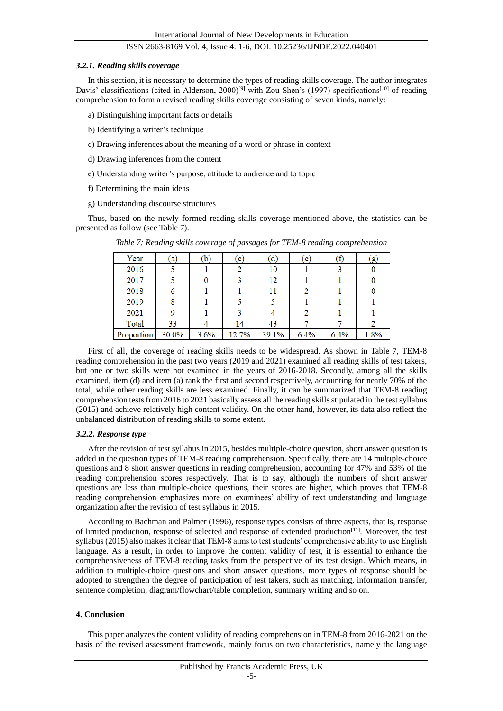#### *3.2.1. Reading skills coverage*

In this section, it is necessary to determine the types of reading skills coverage. The author integrates Davis' classifications (cited in Alderson, 2000)<sup>[9]</sup> with Zou Shen's (1997) specifications<sup>[10]</sup> of reading comprehension to form a revised reading skills coverage consisting of seven kinds, namely:

- a) Distinguishing important facts or details
- b) Identifying a writer's technique
- c) Drawing inferences about the meaning of a word or phrase in context
- d) Drawing inferences from the content
- e) Understanding writer's purpose, attitude to audience and to topic
- f) Determining the main ideas
- g) Understanding discourse structures

Thus, based on the newly formed reading skills coverage mentioned above, the statistics can be presented as follow (see Table 7).

| Year       | (a)   | (b)  | (c)   | (d)   | (e)  | (f)  | $\left( g\right)$ |
|------------|-------|------|-------|-------|------|------|-------------------|
| 2016       |       |      | 2     | 10    |      |      |                   |
| 2017       |       |      |       | 12    |      |      |                   |
| 2018       | 6     |      |       | 11    | 2    |      |                   |
| 2019       | 8     |      |       |       |      |      |                   |
| 2021       |       |      |       |       | 2    |      |                   |
| Total      | 33    |      | 14    | 43    |      |      |                   |
| Proportion | 30.0% | 3.6% | 12.7% | 39.1% | 6.4% | 6.4% | 1.8%              |

*Table 7: Reading skills coverage of passages for TEM-8 reading comprehension*

First of all, the coverage of reading skills needs to be widespread. As shown in Table 7, TEM-8 reading comprehension in the past two years (2019 and 2021) examined all reading skills of test takers, but one or two skills were not examined in the years of 2016-2018. Secondly, among all the skills examined, item (d) and item (a) rank the first and second respectively, accounting for nearly 70% of the total, while other reading skills are less examined. Finally, it can be summarized that TEM-8 reading comprehension tests from 2016 to 2021 basically assess all the reading skills stipulated in the test syllabus (2015) and achieve relatively high content validity. On the other hand, however, its data also reflect the unbalanced distribution of reading skills to some extent.

## *3.2.2. Response type*

After the revision of test syllabus in 2015, besides multiple-choice question, short answer question is added in the question types of TEM-8 reading comprehension. Specifically, there are 14 multiple-choice questions and 8 short answer questions in reading comprehension, accounting for 47% and 53% of the reading comprehension scores respectively. That is to say, although the numbers of short answer questions are less than multiple-choice questions, their scores are higher, which proves that TEM-8 reading comprehension emphasizes more on examinees' ability of text understanding and language organization after the revision of test syllabus in 2015.

According to Bachman and Palmer (1996), response types consists of three aspects, that is, response of limited production, response of selected and response of extended production[11]. Moreover, the test syllabus (2015) also makes it clear that TEM-8 aims to test students' comprehensive ability to use English language. As a result, in order to improve the content validity of test, it is essential to enhance the comprehensiveness of TEM-8 reading tasks from the perspective of its test design. Which means, in addition to multiple-choice questions and short answer questions, more types of response should be adopted to strengthen the degree of participation of test takers, such as matching, information transfer, sentence completion, diagram/flowchart/table completion, summary writing and so on.

## **4. Conclusion**

This paper analyzes the content validity of reading comprehension in TEM-8 from 2016-2021 on the basis of the revised assessment framework, mainly focus on two characteristics, namely the language